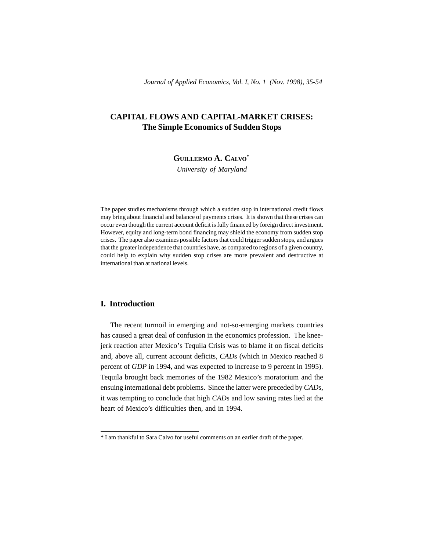# **CAPITAL FLOWS AND CAPITAL-MARKET CRISES: The Simple Economics of Sudden Stops**

# **GUILLERMO A. CALVO\***

*University of Maryland*

The paper studies mechanisms through which a sudden stop in international credit flows may bring about financial and balance of payments crises.It is shown that these crises can occur even though the current account deficit is fully financed by foreign direct investment. However, equity and long-term bond financing may shield the economy from sudden stop crises. The paper also examines possible factors that could trigger sudden stops, and argues that the greater independence that countries have, as compared to regions of a given country, could help to explain why sudden stop crises are more prevalent and destructive at international than at national levels.

## **I. Introduction**

The recent turmoil in emerging and not-so-emerging markets countries has caused a great deal of confusion in the economics profession. The kneejerk reaction after Mexico's Tequila Crisis was to blame it on fiscal deficits and, above all, current account deficits, *CAD*s (which in Mexico reached 8 percent of *GDP* in 1994, and was expected to increase to 9 percent in 1995). Tequila brought back memories of the 1982 Mexico's moratorium and the ensuing international debt problems. Since the latter were preceded by *CAD*s, it was tempting to conclude that high *CAD*s and low saving rates lied at the heart of Mexico's difficulties then, and in 1994.

<sup>\*</sup> I am thankful to Sara Calvo for useful comments on an earlier draft of the paper.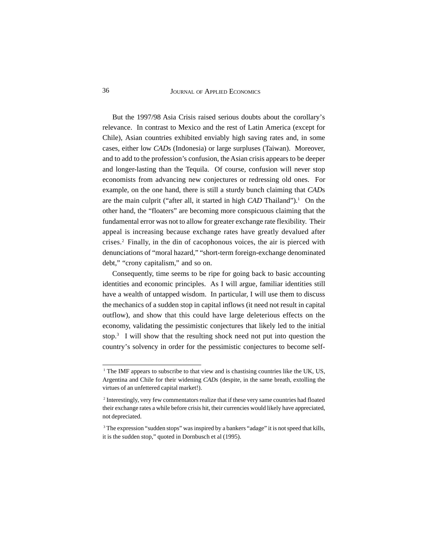But the 1997/98 Asia Crisis raised serious doubts about the corollary's relevance. In contrast to Mexico and the rest of Latin America (except for Chile), Asian countries exhibited enviably high saving rates and, in some cases, either low *CAD*s (Indonesia) or large surpluses (Taiwan). Moreover, and to add to the profession's confusion, the Asian crisis appears to be deeper and longer-lasting than the Tequila. Of course, confusion will never stop economists from advancing new conjectures or redressing old ones. For example, on the one hand, there is still a sturdy bunch claiming that *CAD*s are the main culprit ("after all, it started in high *CAD* Thailand").<sup>1</sup> On the other hand, the "floaters" are becoming more conspicuous claiming that the fundamental error was not to allow for greater exchange rate flexibility. Their appeal is increasing because exchange rates have greatly devalued after crises.2 Finally, in the din of cacophonous voices, the air is pierced with denunciations of "moral hazard," "short-term foreign-exchange denominated debt," "crony capitalism," and so on.

Consequently, time seems to be ripe for going back to basic accounting identities and economic principles. As I will argue, familiar identities still have a wealth of untapped wisdom. In particular, I will use them to discuss the mechanics of a sudden stop in capital inflows (it need not result in capital outflow), and show that this could have large deleterious effects on the economy, validating the pessimistic conjectures that likely led to the initial stop.3 I will show that the resulting shock need not put into question the country's solvency in order for the pessimistic conjectures to become self-

<sup>&</sup>lt;sup>1</sup> The IMF appears to subscribe to that view and is chastising countries like the UK, US, Argentina and Chile for their widening *CADs* (despite, in the same breath, extolling the virtues of an unfettered capital market!).

<sup>&</sup>lt;sup>2</sup> Interestingly, very few commentators realize that if these very same countries had floated their exchange rates a while before crisis hit, their currencies would likely have appreciated, not depreciated.

<sup>&</sup>lt;sup>3</sup> The expression "sudden stops" was inspired by a bankers "adage" it is not speed that kills, it is the sudden stop," quoted in Dornbusch et al (1995).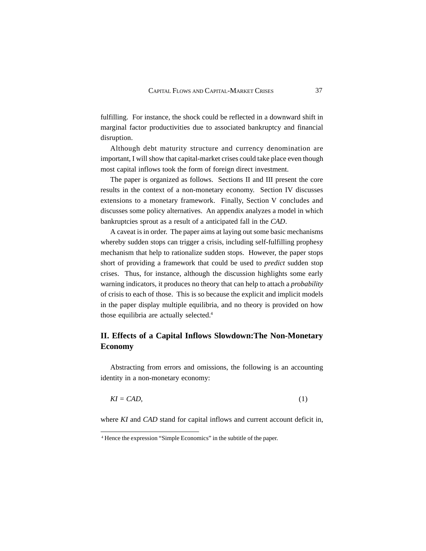fulfilling. For instance, the shock could be reflected in a downward shift in marginal factor productivities due to associated bankruptcy and financial disruption.

Although debt maturity structure and currency denomination are important, I will show that capital-market crises could take place even though most capital inflows took the form of foreign direct investment.

The paper is organized as follows. Sections II and III present the core results in the context of a non-monetary economy. Section IV discusses extensions to a monetary framework. Finally, Section V concludes and discusses some policy alternatives. An appendix analyzes a model in which bankruptcies sprout as a result of a anticipated fall in the *CAD*.

A caveat is in order. The paper aims at laying out some basic mechanisms whereby sudden stops can trigger a crisis, including self-fulfilling prophesy mechanism that help to rationalize sudden stops. However, the paper stops short of providing a framework that could be used to *predict* sudden stop crises. Thus, for instance, although the discussion highlights some early warning indicators, it produces no theory that can help to attach a *probability* of crisis to each of those. This is so because the explicit and implicit models in the paper display multiple equilibria, and no theory is provided on how those equilibria are actually selected.4

# **II. Effects of a Capital Inflows Slowdown:The Non-Monetary Economy**

Abstracting from errors and omissions, the following is an accounting identity in a non-monetary economy:

$$
KI = CAD,\tag{1}
$$

where *KI* and *CAD* stand for capital inflows and current account deficit in,

<sup>4</sup> Hence the expression "Simple Economics" in the subtitle of the paper.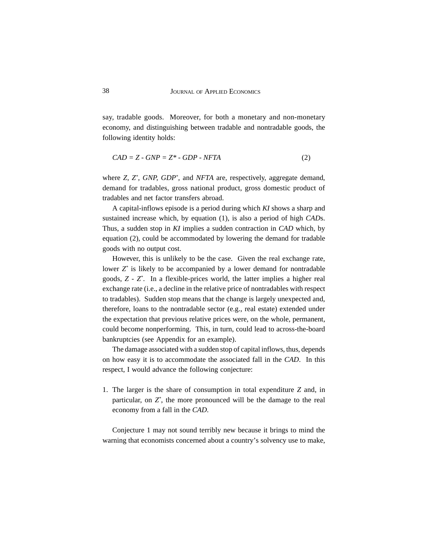say, tradable goods. Moreover, for both a monetary and non-monetary economy, and distinguishing between tradable and nontradable goods, the following identity holds:

$$
CAD = Z - GNP = Z^* - GDP - NFTA \tag{2}
$$

where *Z*, *Z*<sup>\*</sup>, *GNP*, *GDP*<sup>\*</sup>, and *NFTA* are, respectively, aggregate demand, demand for tradables, gross national product, gross domestic product of tradables and net factor transfers abroad.

A capital-inflows episode is a period during which *KI* shows a sharp and sustained increase which, by equation (1), is also a period of high *CAD*s. Thus, a sudden stop in *KI* implies a sudden contraction in *CAD* which, by equation (2), could be accommodated by lowering the demand for tradable goods with no output cost.

However, this is unlikely to be the case. Given the real exchange rate, lower *Z\** is likely to be accompanied by a lower demand for nontradable goods, *Z - Z\** . In a flexible-prices world, the latter implies a higher real exchange rate (i.e., a decline in the relative price of nontradables with respect to tradables). Sudden stop means that the change is largely unexpected and, therefore, loans to the nontradable sector (e.g., real estate) extended under the expectation that previous relative prices were, on the whole, permanent, could become nonperforming. This, in turn, could lead to across-the-board bankruptcies (see Appendix for an example).

The damage associated with a sudden stop of capital inflows, thus, depends on how easy it is to accommodate the associated fall in the *CAD*. In this respect, I would advance the following conjecture:

1. The larger is the share of consumption in total expenditure *Z* and, in particular, on *Z\** , the more pronounced will be the damage to the real economy from a fall in the *CAD*.

Conjecture 1 may not sound terribly new because it brings to mind the warning that economists concerned about a country's solvency use to make,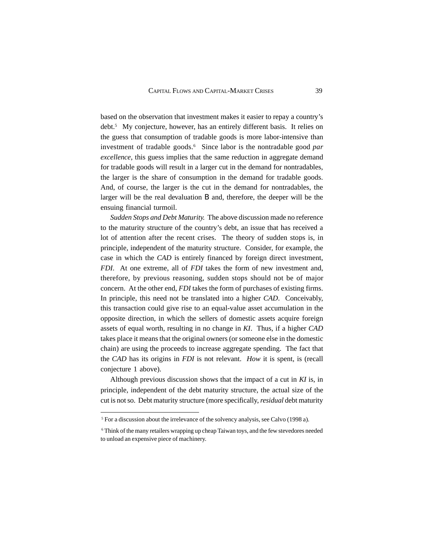based on the observation that investment makes it easier to repay a country's debt.5 My conjecture, however, has an entirely different basis. It relies on the guess that consumption of tradable goods is more labor-intensive than investment of tradable goods.<sup>6</sup> Since labor is the nontradable good *par excellence*, this guess implies that the same reduction in aggregate demand for tradable goods will result in a larger cut in the demand for nontradables, the larger is the share of consumption in the demand for tradable goods. And, of course, the larger is the cut in the demand for nontradables, the larger will be the real devaluation Β and, therefore, the deeper will be the ensuing financial turmoil.

*Sudden Stops and Debt Maturity.* The above discussion made no reference to the maturity structure of the country's debt, an issue that has received a lot of attention after the recent crises. The theory of sudden stops is, in principle, independent of the maturity structure. Consider, for example, the case in which the *CAD* is entirely financed by foreign direct investment, *FDI*. At one extreme, all of *FDI* takes the form of new investment and, therefore, by previous reasoning, sudden stops should not be of major concern. At the other end, *FDI* takes the form of purchases of existing firms. In principle, this need not be translated into a higher *CAD*. Conceivably, this transaction could give rise to an equal-value asset accumulation in the opposite direction, in which the sellers of domestic assets acquire foreign assets of equal worth, resulting in no change in *KI*. Thus, if a higher *CAD* takes place it means that the original owners (or someone else in the domestic chain) are using the proceeds to increase aggregate spending. The fact that the *CAD* has its origins in *FDI* is not relevant. *How* it is spent, is (recall conjecture 1 above).

Although previous discussion shows that the impact of a cut in *KI* is, in principle, independent of the debt maturity structure, the actual size of the cut is not so. Debt maturity structure (more specifically, *residual* debt maturity

<sup>&</sup>lt;sup>5</sup> For a discussion about the irrelevance of the solvency analysis, see Calvo (1998 a).

<sup>&</sup>lt;sup>6</sup> Think of the many retailers wrapping up cheap Taiwan toys, and the few stevedores needed to unload an expensive piece of machinery.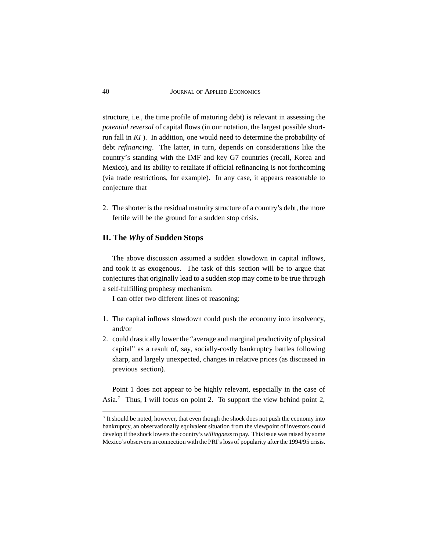structure, i.e., the time profile of maturing debt) is relevant in assessing the *potential reversal* of capital flows (in our notation, the largest possible shortrun fall in *KI* ). In addition, one would need to determine the probability of debt *refinancing*. The latter, in turn, depends on considerations like the country's standing with the IMF and key G7 countries (recall, Korea and Mexico), and its ability to retaliate if official refinancing is not forthcoming (via trade restrictions, for example). In any case, it appears reasonable to conjecture that

2. The shorter is the residual maturity structure of a country's debt, the more fertile will be the ground for a sudden stop crisis.

### **II. The** *Why* **of Sudden Stops**

The above discussion assumed a sudden slowdown in capital inflows, and took it as exogenous. The task of this section will be to argue that conjectures that originally lead to a sudden stop may come to be true through a self-fulfilling prophesy mechanism.

I can offer two different lines of reasoning:

- 1. The capital inflows slowdown could push the economy into insolvency, and/or
- 2. could drastically lower the "average and marginal productivity of physical capital" as a result of, say, socially-costly bankruptcy battles following sharp, and largely unexpected, changes in relative prices (as discussed in previous section).

Point 1 does not appear to be highly relevant, especially in the case of Asia.<sup>7</sup> Thus, I will focus on point 2. To support the view behind point 2,

<sup>&</sup>lt;sup>7</sup> It should be noted, however, that even though the shock does not push the economy into bankruptcy, an observationally equivalent situation from the viewpoint of investors could develop if the shock lowers the country's *willingness* to pay. This issue was raised by some Mexico's observers in connection with the PRI's loss of popularity after the 1994/95 crisis.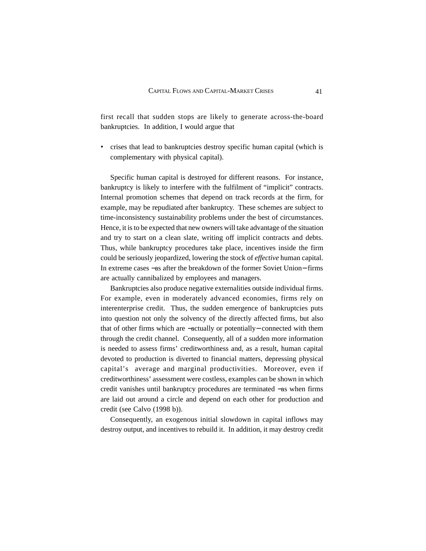first recall that sudden stops are likely to generate across-the-board bankruptcies. In addition, I would argue that

crises that lead to bankruptcies destroy specific human capital (which is complementary with physical capital). **·**

Specific human capital is destroyed for different reasons. For instance, bankruptcy is likely to interfere with the fulfilment of "implicit" contracts. Internal promotion schemes that depend on track records at the firm, for example, may be repudiated after bankruptcy. These schemes are subject to time-inconsistency sustainability problems under the best of circumstances. Hence, it is to be expected that new owners will take advantage of the situation and try to start on a clean slate, writing off implicit contracts and debts. Thus, while bankruptcy procedures take place, incentives inside the firm could be seriously jeopardized, lowering the stock of *effective* human capital. In extreme cases −as after the breakdown of the former Soviet Union− firms are actually cannibalized by employees and managers.

Bankruptcies also produce negative externalities outside individual firms. For example, even in moderately advanced economies, firms rely on interenterprise credit. Thus, the sudden emergence of bankruptcies puts into question not only the solvency of the directly affected firms, but also that of other firms which are −actually or potentially− connected with them through the credit channel. Consequently, all of a sudden more information is needed to assess firms' creditworthiness and, as a result, human capital devoted to production is diverted to financial matters, depressing physical capital's average and marginal productivities. Moreover, even if creditworthiness' assessment were costless, examples can be shown in which credit vanishes until bankruptcy procedures are terminated −as when firms are laid out around a circle and depend on each other for production and credit (see Calvo (1998 b)).

Consequently, an exogenous initial slowdown in capital inflows may destroy output, and incentives to rebuild it. In addition, it may destroy credit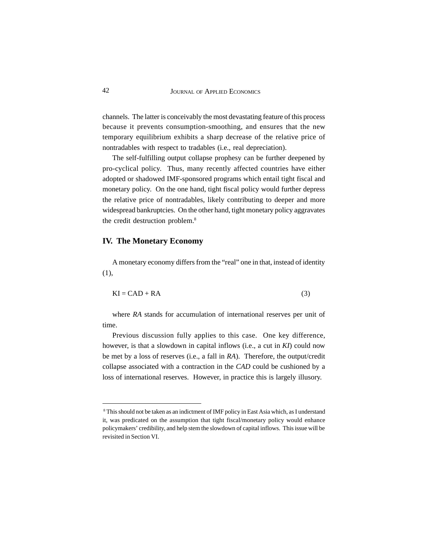channels. The latter is conceivably the most devastating feature of this process because it prevents consumption-smoothing, and ensures that the new temporary equilibrium exhibits a sharp decrease of the relative price of nontradables with respect to tradables (i.e., real depreciation).

The self-fulfilling output collapse prophesy can be further deepened by pro-cyclical policy. Thus, many recently affected countries have either adopted or shadowed IMF-sponsored programs which entail tight fiscal and monetary policy. On the one hand, tight fiscal policy would further depress the relative price of nontradables, likely contributing to deeper and more widespread bankruptcies. On the other hand, tight monetary policy aggravates the credit destruction problem.8

## **IV. The Monetary Economy**

A monetary economy differs from the "real" one in that, instead of identity (1),

$$
KI = CAD + RA
$$
 (3)

where *RA* stands for accumulation of international reserves per unit of time.

Previous discussion fully applies to this case. One key difference, however, is that a slowdown in capital inflows (i.e., a cut in *KI*) could now be met by a loss of reserves (i.e., a fall in *RA*). Therefore, the output/credit collapse associated with a contraction in the *CAD* could be cushioned by a loss of international reserves. However, in practice this is largely illusory.

<sup>&</sup>lt;sup>8</sup> This should not be taken as an indictment of IMF policy in East Asia which, as I understand it, was predicated on the assumption that tight fiscal/monetary policy would enhance policymakers' credibility, and help stem the slowdown of capital inflows. This issue will be revisited in Section VI.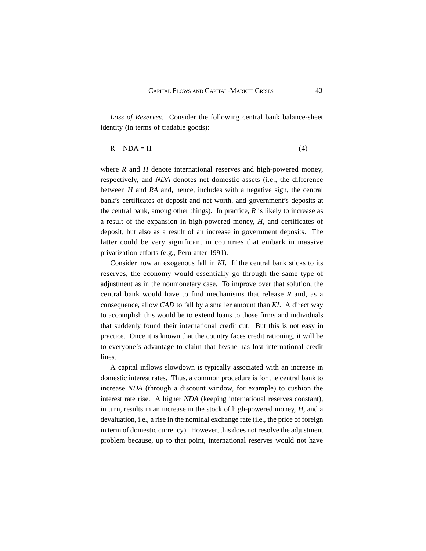*Loss of Reserves.* Consider the following central bank balance-sheet identity (in terms of tradable goods):

$$
R + NDA = H \tag{4}
$$

where *R* and *H* denote international reserves and high-powered money, respectively, and *NDA* denotes net domestic assets (i.e., the difference between *H* and *RA* and, hence, includes with a negative sign, the central bank's certificates of deposit and net worth, and government's deposits at the central bank, among other things). In practice, *R* is likely to increase as a result of the expansion in high-powered money, *H*, and certificates of deposit, but also as a result of an increase in government deposits. The latter could be very significant in countries that embark in massive privatization efforts (e.g., Peru after 1991).

Consider now an exogenous fall in *KI*. If the central bank sticks to its reserves, the economy would essentially go through the same type of adjustment as in the nonmonetary case. To improve over that solution, the central bank would have to find mechanisms that release *R* and, as a consequence, allow *CAD* to fall by a smaller amount than *KI*. A direct way to accomplish this would be to extend loans to those firms and individuals that suddenly found their international credit cut. But this is not easy in practice. Once it is known that the country faces credit rationing, it will be to everyone's advantage to claim that he/she has lost international credit lines.

A capital inflows slowdown is typically associated with an increase in domestic interest rates. Thus, a common procedure is for the central bank to increase *NDA* (through a discount window, for example) to cushion the interest rate rise. A higher *NDA* (keeping international reserves constant), in turn, results in an increase in the stock of high-powered money, *H*, and a devaluation, i.e., a rise in the nominal exchange rate (i.e., the price of foreign in term of domestic currency). However, this does not resolve the adjustment problem because, up to that point, international reserves would not have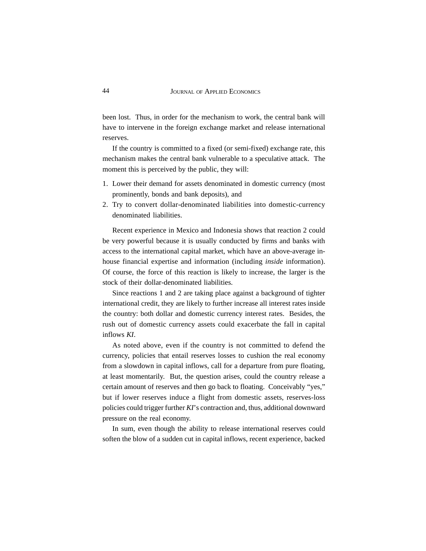been lost. Thus, in order for the mechanism to work, the central bank will have to intervene in the foreign exchange market and release international reserves.

If the country is committed to a fixed (or semi-fixed) exchange rate, this mechanism makes the central bank vulnerable to a speculative attack. The moment this is perceived by the public, they will:

- 1. Lower their demand for assets denominated in domestic currency (most prominently, bonds and bank deposits), and
- 2. Try to convert dollar-denominated liabilities into domestic-currency denominated liabilities.

Recent experience in Mexico and Indonesia shows that reaction 2 could be very powerful because it is usually conducted by firms and banks with access to the international capital market, which have an above-average inhouse financial expertise and information (including *inside* information). Of course, the force of this reaction is likely to increase, the larger is the stock of their dollar-denominated liabilities.

Since reactions 1 and 2 are taking place against a background of tighter international credit, they are likely to further increase all interest rates inside the country: both dollar and domestic currency interest rates. Besides, the rush out of domestic currency assets could exacerbate the fall in capital inflows *KI*.

As noted above, even if the country is not committed to defend the currency, policies that entail reserves losses to cushion the real economy from a slowdown in capital inflows, call for a departure from pure floating, at least momentarily. But, the question arises, could the country release a certain amount of reserves and then go back to floating. Conceivably "yes," but if lower reserves induce a flight from domestic assets, reserves-loss policies could trigger further *KI*'s contraction and, thus, additional downward pressure on the real economy.

In sum, even though the ability to release international reserves could soften the blow of a sudden cut in capital inflows, recent experience, backed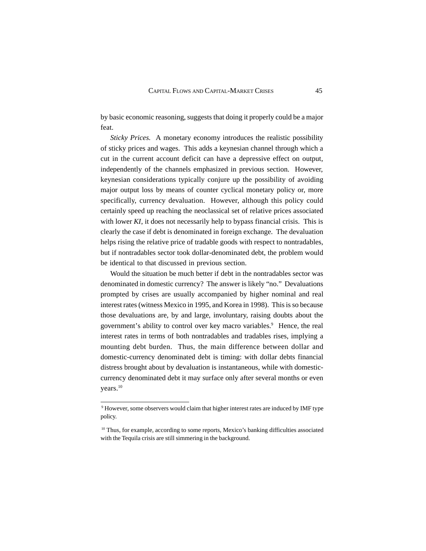by basic economic reasoning, suggests that doing it properly could be a major feat.

*Sticky Prices.* A monetary economy introduces the realistic possibility of sticky prices and wages. This adds a keynesian channel through which a cut in the current account deficit can have a depressive effect on output, independently of the channels emphasized in previous section. However, keynesian considerations typically conjure up the possibility of avoiding major output loss by means of counter cyclical monetary policy or, more specifically, currency devaluation. However, although this policy could certainly speed up reaching the neoclassical set of relative prices associated with lower *KI*, it does not necessarily help to bypass financial crisis. This is clearly the case if debt is denominated in foreign exchange. The devaluation helps rising the relative price of tradable goods with respect to nontradables, but if nontradables sector took dollar-denominated debt, the problem would be identical to that discussed in previous section.

Would the situation be much better if debt in the nontradables sector was denominated in domestic currency? The answer is likely "no." Devaluations prompted by crises are usually accompanied by higher nominal and real interest rates (witness Mexico in 1995, and Korea in 1998). This is so because those devaluations are, by and large, involuntary, raising doubts about the government's ability to control over key macro variables.<sup>9</sup> Hence, the real interest rates in terms of both nontradables and tradables rises, implying a mounting debt burden. Thus, the main difference between dollar and domestic-currency denominated debt is timing: with dollar debts financial distress brought about by devaluation is instantaneous, while with domesticcurrency denominated debt it may surface only after several months or even years.10

<sup>9</sup> However, some observers would claim that higher interest rates are induced by IMF type policy.

<sup>&</sup>lt;sup>10</sup> Thus, for example, according to some reports, Mexico's banking difficulties associated with the Tequila crisis are still simmering in the background.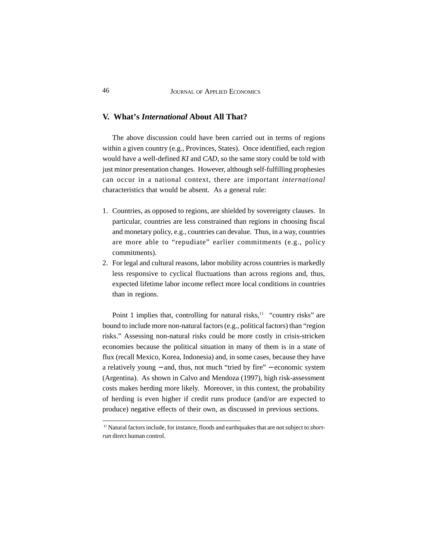## **V. What's** *International* **About All That?**

The above discussion could have been carried out in terms of regions within a given country (e.g., Provinces, States). Once identified, each region would have a well-defined *KI* and *CAD*, so the same story could be told with just minor presentation changes. However, although self-fulfilling prophesies can occur in a national context, there are important *international* characteristics that would be absent. As a general rule:

- 1. Countries, as opposed to regions, are shielded by sovereignty clauses. In particular, countries are less constrained than regions in choosing fiscal and monetary policy, e.g., countries can devalue. Thus, in a way, countries are more able to "repudiate" earlier commitments (e.g., policy commitments).
- 2. For legal and cultural reasons, labor mobility across countries is markedly less responsive to cyclical fluctuations than across regions and, thus, expected lifetime labor income reflect more local conditions in countries than in regions.

Point 1 implies that, controlling for natural risks, $11$  "country risks" are bound to include more non-natural factors (e.g., political factors) than "region risks." Assessing non-natural risks could be more costly in crisis-stricken economies because the political situation in many of them is in a state of flux (recall Mexico, Korea, Indonesia) and, in some cases, because they have a relatively young − and, thus, not much "tried by fire" − economic system (Argentina). As shown in Calvo and Mendoza (1997), high risk-assessment costs makes herding more likely. Moreover, in this context, the probability of herding is even higher if credit runs produce (and/or are expected to produce) negative effects of their own, as discussed in previous sections.

<sup>11</sup> Natural factors include, for instance, floods and earthquakes that are not subject to *shortrun* direct human control.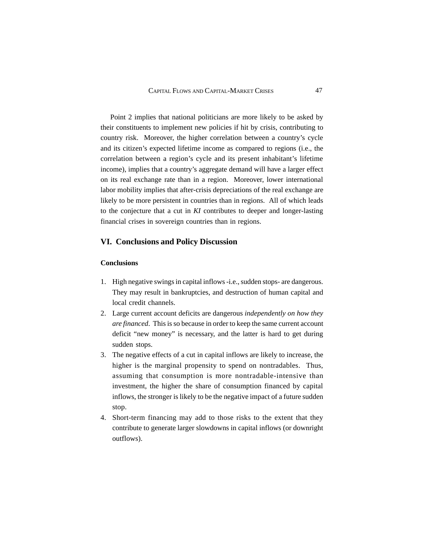Point 2 implies that national politicians are more likely to be asked by their constituents to implement new policies if hit by crisis, contributing to country risk. Moreover, the higher correlation between a country's cycle and its citizen's expected lifetime income as compared to regions (i.e., the correlation between a region's cycle and its present inhabitant's lifetime income), implies that a country's aggregate demand will have a larger effect on its real exchange rate than in a region. Moreover, lower international labor mobility implies that after-crisis depreciations of the real exchange are likely to be more persistent in countries than in regions. All of which leads to the conjecture that a cut in *KI* contributes to deeper and longer-lasting financial crises in sovereign countries than in regions.

### **VI. Conclusions and Policy Discussion**

## **Conclusions**

- 1. High negative swings in capital inflows -i.e., sudden stops- are dangerous. They may result in bankruptcies, and destruction of human capital and local credit channels.
- 2. Large current account deficits are dangerous *independently on how they are financed*. This is so because in order to keep the same current account deficit "new money" is necessary, and the latter is hard to get during sudden stops.
- 3. The negative effects of a cut in capital inflows are likely to increase, the higher is the marginal propensity to spend on nontradables. Thus, assuming that consumption is more nontradable-intensive than investment, the higher the share of consumption financed by capital inflows, the stronger is likely to be the negative impact of a future sudden stop.
- 4. Short-term financing may add to those risks to the extent that they contribute to generate larger slowdowns in capital inflows (or downright outflows).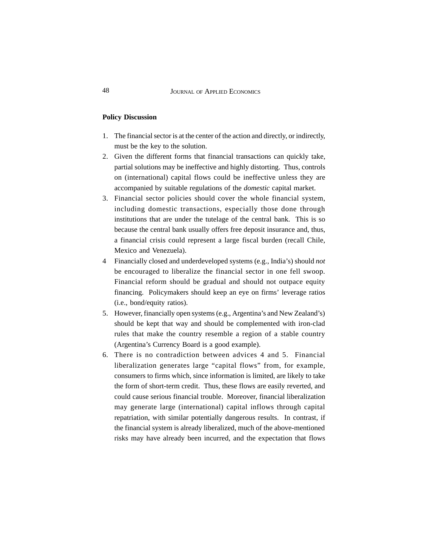#### **Policy Discussion**

- 1. The financial sector is at the center of the action and directly, or indirectly, must be the key to the solution.
- 2. Given the different forms that financial transactions can quickly take, partial solutions may be ineffective and highly distorting. Thus, controls on (international) capital flows could be ineffective unless they are accompanied by suitable regulations of the *domestic* capital market.
- 3. Financial sector policies should cover the whole financial system, including domestic transactions, especially those done through institutions that are under the tutelage of the central bank. This is so because the central bank usually offers free deposit insurance and, thus, a financial crisis could represent a large fiscal burden (recall Chile, Mexico and Venezuela).
- 4 Financially closed and underdeveloped systems (e.g., India's) should *not* be encouraged to liberalize the financial sector in one fell swoop. Financial reform should be gradual and should not outpace equity financing. Policymakers should keep an eye on firms' leverage ratios (i.e., bond/equity ratios).
- 5. However, financially open systems (e.g., Argentina's and New Zealand's) should be kept that way and should be complemented with iron-clad rules that make the country resemble a region of a stable country (Argentina's Currency Board is a good example).
- 6. There is no contradiction between advices 4 and 5. Financial liberalization generates large "capital flows" from, for example, consumers to firms which, since information is limited, are likely to take the form of short-term credit. Thus, these flows are easily reverted, and could cause serious financial trouble. Moreover, financial liberalization may generate large (international) capital inflows through capital repatriation, with similar potentially dangerous results. In contrast, if the financial system is already liberalized, much of the above-mentioned risks may have already been incurred, and the expectation that flows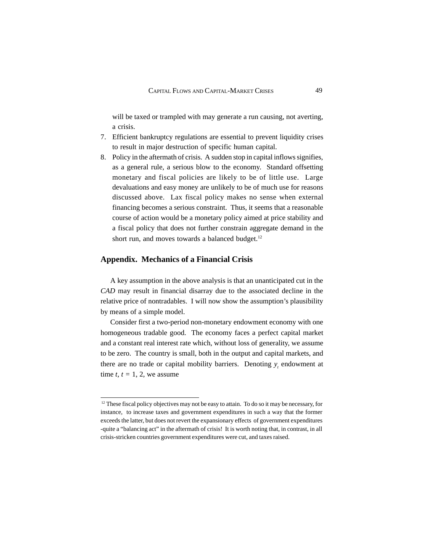will be taxed or trampled with may generate a run causing, not averting, a crisis.

- 7. Efficient bankruptcy regulations are essential to prevent liquidity crises to result in major destruction of specific human capital.
- 8. Policy in the aftermath of crisis. A sudden stop in capital inflows signifies, as a general rule, a serious blow to the economy. Standard offsetting monetary and fiscal policies are likely to be of little use. Large devaluations and easy money are unlikely to be of much use for reasons discussed above. Lax fiscal policy makes no sense when external financing becomes a serious constraint. Thus, it seems that a reasonable course of action would be a monetary policy aimed at price stability and a fiscal policy that does not further constrain aggregate demand in the short run, and moves towards a balanced budget. $12$

#### **Appendix. Mechanics of a Financial Crisis**

A key assumption in the above analysis is that an unanticipated cut in the *CAD* may result in financial disarray due to the associated decline in the relative price of nontradables. I will now show the assumption's plausibility by means of a simple model.

Consider first a two-period non-monetary endowment economy with one homogeneous tradable good. The economy faces a perfect capital market and a constant real interest rate which, without loss of generality, we assume to be zero. The country is small, both in the output and capital markets, and there are no trade or capital mobility barriers. Denoting  $y_t$  endowment at time  $t, t = 1, 2$ , we assume

<sup>&</sup>lt;sup>12</sup> These fiscal policy objectives may not be easy to attain. To do so it may be necessary, for instance, to increase taxes and government expenditures in such a way that the former exceeds the latter, but does not revert the expansionary effects of government expenditures -quite a "balancing act" in the aftermath of crisis! It is worth noting that, in contrast, in all crisis-stricken countries government expenditures were cut, and taxes raised.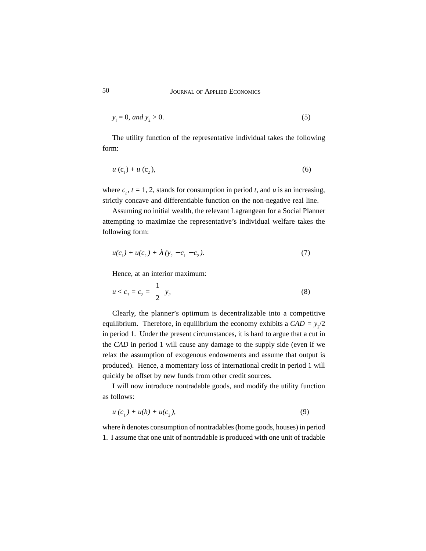$$
y_1 = 0, \text{ and } y_2 > 0. \tag{5}
$$

The utility function of the representative individual takes the following form:

$$
u\left(\mathbf{c}_1\right) + u\left(\mathbf{c}_2\right),\tag{6}
$$

where  $c_t$ ,  $t = 1, 2$ , stands for consumption in period *t*, and *u* is an increasing, strictly concave and differentiable function on the non-negative real line.

Assuming no initial wealth, the relevant Lagrangean for a Social Planner attempting to maximize the representative's individual welfare takes the following form:

$$
u(c_1) + u(c_2) + \lambda (y_2 - c_1 - c_2). \tag{7}
$$

Hence, at an interior maximum:

$$
u < c_1 = c_2 = \frac{1}{2} \quad y_2 \tag{8}
$$

Clearly, the planner's optimum is decentralizable into a competitive equilibrium. Therefore, in equilibrium the economy exhibits a  $CAD = y_2/2$ in period 1. Under the present circumstances, it is hard to argue that a cut in the *CAD* in period 1 will cause any damage to the supply side (even if we relax the assumption of exogenous endowments and assume that output is produced). Hence, a momentary loss of international credit in period 1 will quickly be offset by new funds from other credit sources.

I will now introduce nontradable goods, and modify the utility function as follows:

$$
u(c_1) + u(h) + u(c_2), \tag{9}
$$

where *h* denotes consumption of nontradables (home goods, houses) in period 1. I assume that one unit of nontradable is produced with one unit of tradable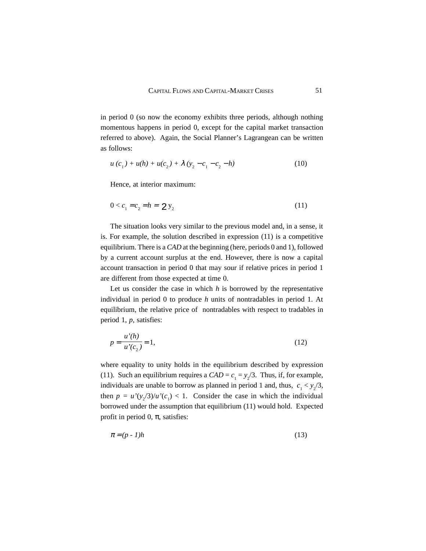in period 0 (so now the economy exhibits three periods, although nothing momentous happens in period 0, except for the capital market transaction referred to above). Again, the Social Planner's Lagrangean can be written as follows:

$$
u(c_1) + u(h) + u(c_2) + \lambda (y_2 - c_1 - c_2 - h)
$$
\n(10)

Hence, at interior maximum:

$$
0 < c_1 = c_2 = h = 2 y_2 \tag{11}
$$

The situation looks very similar to the previous model and, in a sense, it is. For example, the solution described in expression (11) is a competitive equilibrium. There is a *CAD* at the beginning (here, periods 0 and 1), followed by a current account surplus at the end. However, there is now a capital account transaction in period 0 that may sour if relative prices in period 1 are different from those expected at time 0.

Let us consider the case in which *h* is borrowed by the representative individual in period 0 to produce *h* units of nontradables in period 1. At equilibrium, the relative price of nontradables with respect to tradables in period 1, *p,* satisfies:

$$
p = \frac{u'(h)}{u'(c_2)} = 1,
$$
\n(12)

where equality to unity holds in the equilibrium described by expression (11). Such an equilibrium requires a  $CAD = c_1 = y_2/3$ . Thus, if, for example, individuals are unable to borrow as planned in period 1 and, thus,  $c_1 < y_2/3$ , then  $p = u'(y_2/3)/u'(c_1) < 1$ . Consider the case in which the individual borrowed under the assumption that equilibrium (11) would hold. Expected profit in period 0,  $\pi$ , satisfies:

$$
\pi = (p - 1)h\tag{13}
$$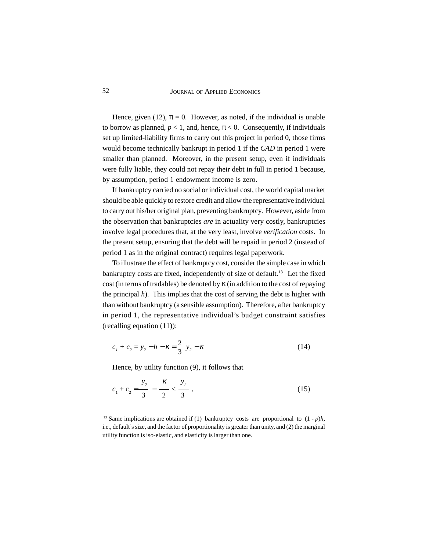Hence, given (12),  $\pi = 0$ . However, as noted, if the individual is unable to borrow as planned,  $p < 1$ , and, hence,  $\pi < 0$ . Consequently, if individuals set up limited-liability firms to carry out this project in period 0, those firms would become technically bankrupt in period 1 if the *CAD* in period 1 were smaller than planned. Moreover, in the present setup, even if individuals were fully liable, they could not repay their debt in full in period 1 because, by assumption, period 1 endowment income is zero.

If bankruptcy carried no social or individual cost, the world capital market should be able quickly to restore credit and allow the representative individual to carry out his/her original plan, preventing bankruptcy. However, aside from the observation that bankruptcies *are* in actuality very costly, bankruptcies involve legal procedures that, at the very least, involve *verification* costs. In the present setup, ensuring that the debt will be repaid in period 2 (instead of period 1 as in the original contract) requires legal paperwork.

To illustrate the effect of bankruptcy cost, consider the simple case in which bankruptcy costs are fixed, independently of size of default.<sup>13</sup> Let the fixed cost (in terms of tradables) be denoted by  $\kappa$  (in addition to the cost of repaying the principal *h*). This implies that the cost of serving the debt is higher with than without bankruptcy (a sensible assumption). Therefore, after bankruptcy in period 1, the representative individual's budget constraint satisfies (recalling equation (11)):

$$
c_1 + c_2 = y_2 - h - \kappa = \frac{2}{3} y_2 - \kappa
$$
 (14)

Hence, by utility function (9), it follows that

$$
c_1 + c_2 = \frac{y_2}{3} - \frac{\kappa}{2} < \frac{y_2}{3} \tag{15}
$$

<sup>&</sup>lt;sup>13</sup> Same implications are obtained if (1) bankruptcy costs are proportional to  $(1 - p)h$ , i.e., default's size, and the factor of proportionality is greater than unity, and (2) the marginal utility function is iso-elastic, and elasticity is larger than one.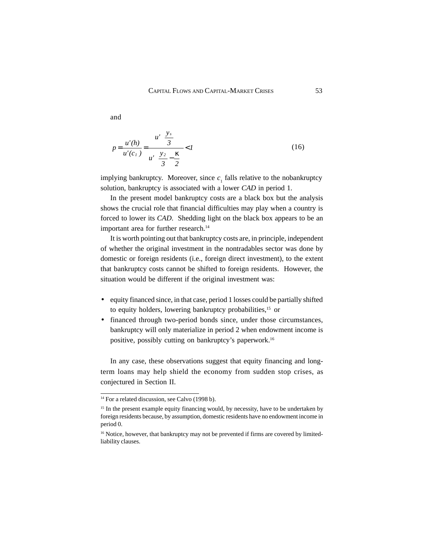and

$$
p = \frac{u'(h)}{u'(c_1)} = \frac{u'\left(\frac{y_s}{3}\right)}{u'\left(\frac{y_2}{3} - \frac{\kappa}{2}\right)} < 1
$$
 (16)

implying bankruptcy. Moreover, since  $c_1$  falls relative to the nobankruptcy solution, bankruptcy is associated with a lower *CAD* in period 1.

In the present model bankruptcy costs are a black box but the analysis shows the crucial role that financial difficulties may play when a country is forced to lower its *CAD*. Shedding light on the black box appears to be an important area for further research.<sup>14</sup>

It is worth pointing out that bankruptcy costs are, in principle, independent of whether the original investment in the nontradables sector was done by domestic or foreign residents (i.e., foreign direct investment), to the extent that bankruptcy costs cannot be shifted to foreign residents. However, the situation would be different if the original investment was:

- equity financed since, in that case, period 1 losses could be partially shifted to equity holders, lowering bankruptcy probabilities,<sup>15</sup> or
- financed through two-period bonds since, under those circumstances, bankruptcy will only materialize in period 2 when endowment income is positive, possibly cutting on bankruptcy's paperwork.16

In any case, these observations suggest that equity financing and longterm loans may help shield the economy from sudden stop crises, as conjectured in Section II.

 $14$  For a related discussion, see Calvo (1998 b).

<sup>&</sup>lt;sup>15</sup> In the present example equity financing would, by necessity, have to be undertaken by foreign residents because, by assumption, domestic residents have no endowment income in period 0.

<sup>&</sup>lt;sup>16</sup> Notice, however, that bankruptcy may not be prevented if firms are covered by limitedliability clauses.